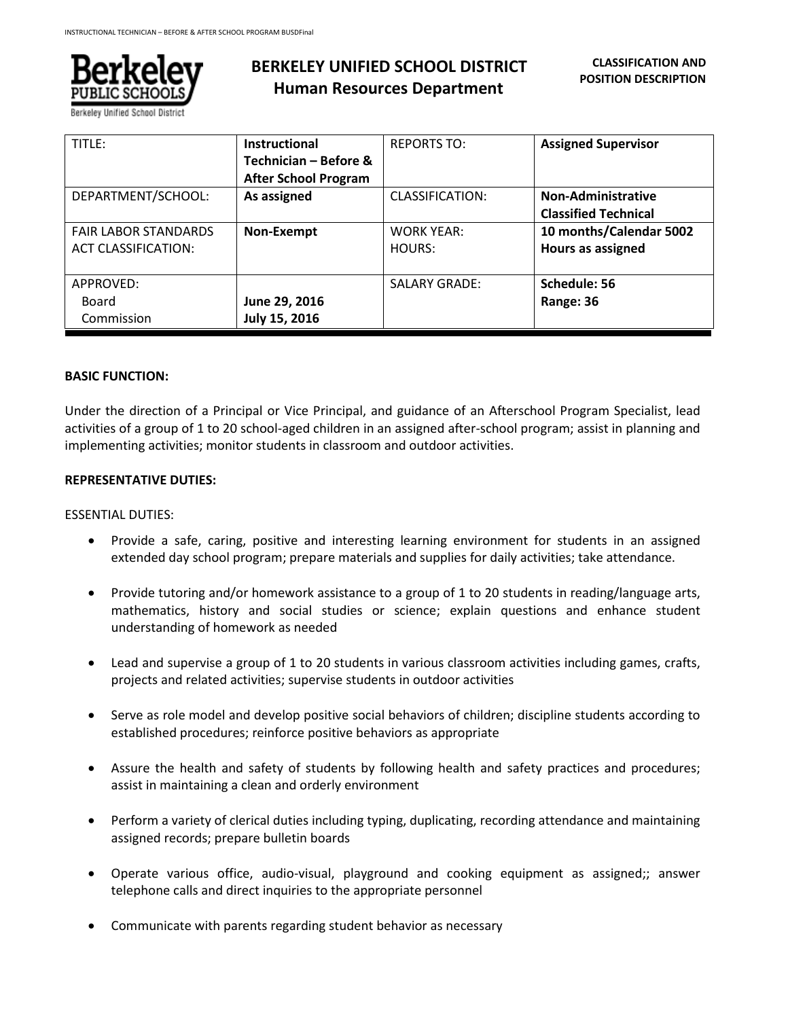

Berkeley Unified School Distric

# **BERKELEY UNIFIED SCHOOL DISTRICT Human Resources Department**

| TITLE:                      | <b>Instructional</b>        | <b>REPORTS TO:</b>     | <b>Assigned Supervisor</b>  |
|-----------------------------|-----------------------------|------------------------|-----------------------------|
|                             | Technician - Before &       |                        |                             |
|                             | <b>After School Program</b> |                        |                             |
| DEPARTMENT/SCHOOL:          | As assigned                 | <b>CLASSIFICATION:</b> | <b>Non-Administrative</b>   |
|                             |                             |                        | <b>Classified Technical</b> |
| <b>FAIR LABOR STANDARDS</b> | Non-Exempt                  | <b>WORK YEAR:</b>      | 10 months/Calendar 5002     |
| <b>ACT CLASSIFICATION:</b>  |                             | HOURS:                 | Hours as assigned           |
|                             |                             |                        |                             |
| APPROVED:                   |                             | <b>SALARY GRADE:</b>   | Schedule: 56                |
| Board                       | June 29, 2016               |                        | Range: 36                   |
| Commission                  | July 15, 2016               |                        |                             |

#### **BASIC FUNCTION:**

Under the direction of a Principal or Vice Principal, and guidance of an Afterschool Program Specialist, lead activities of a group of 1 to 20 school-aged children in an assigned after-school program; assist in planning and implementing activities; monitor students in classroom and outdoor activities.

### **REPRESENTATIVE DUTIES:**

#### ESSENTIAL DUTIES:

- Provide a safe, caring, positive and interesting learning environment for students in an assigned extended day school program; prepare materials and supplies for daily activities; take attendance.
- Provide tutoring and/or homework assistance to a group of 1 to 20 students in reading/language arts, mathematics, history and social studies or science; explain questions and enhance student understanding of homework as needed
- Lead and supervise a group of 1 to 20 students in various classroom activities including games, crafts, projects and related activities; supervise students in outdoor activities
- Serve as role model and develop positive social behaviors of children; discipline students according to established procedures; reinforce positive behaviors as appropriate
- Assure the health and safety of students by following health and safety practices and procedures; assist in maintaining a clean and orderly environment
- Perform a variety of clerical duties including typing, duplicating, recording attendance and maintaining assigned records; prepare bulletin boards
- Operate various office, audio-visual, playground and cooking equipment as assigned;; answer telephone calls and direct inquiries to the appropriate personnel
- Communicate with parents regarding student behavior as necessary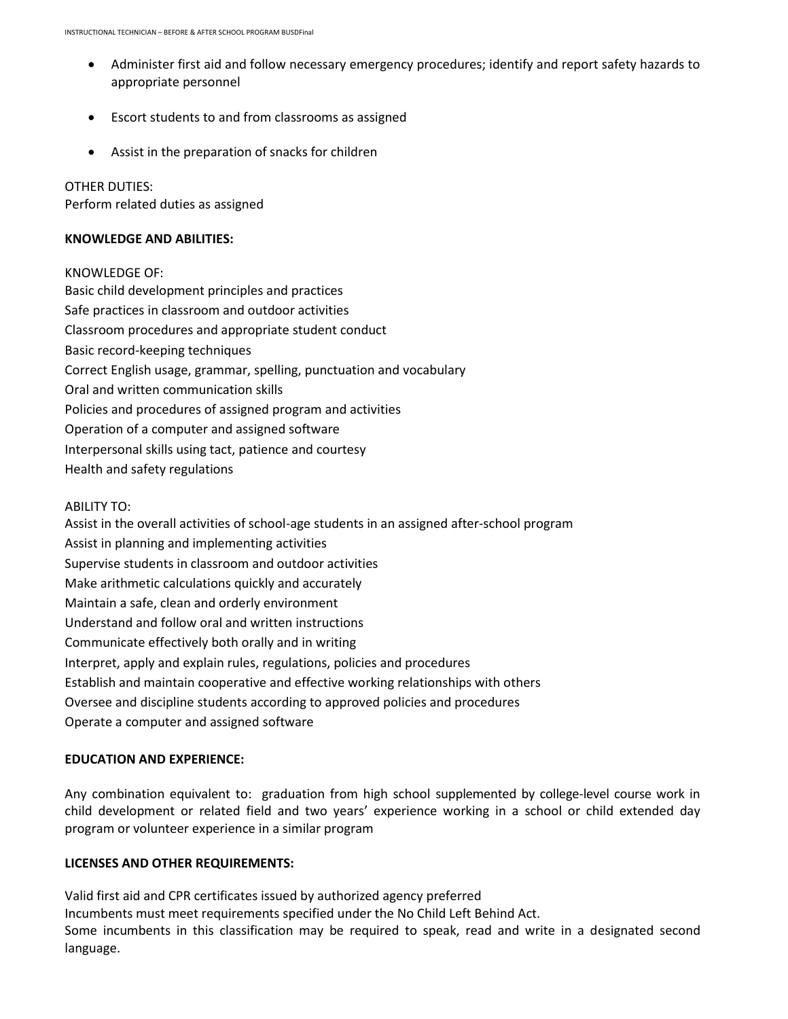- Administer first aid and follow necessary emergency procedures; identify and report safety hazards to appropriate personnel
- Escort students to and from classrooms as assigned
- Assist in the preparation of snacks for children

# OTHER DUTIES:

Perform related duties as assigned

# **KNOWLEDGE AND ABILITIES:**

KNOWLEDGE OF: Basic child development principles and practices Safe practices in classroom and outdoor activities Classroom procedures and appropriate student conduct Basic record-keeping techniques Correct English usage, grammar, spelling, punctuation and vocabulary Oral and written communication skills Policies and procedures of assigned program and activities Operation of a computer and assigned software Interpersonal skills using tact, patience and courtesy Health and safety regulations

### ABILITY TO:

Assist in the overall activities of school-age students in an assigned after-school program Assist in planning and implementing activities Supervise students in classroom and outdoor activities Make arithmetic calculations quickly and accurately Maintain a safe, clean and orderly environment Understand and follow oral and written instructions Communicate effectively both orally and in writing Interpret, apply and explain rules, regulations, policies and procedures Establish and maintain cooperative and effective working relationships with others Oversee and discipline students according to approved policies and procedures Operate a computer and assigned software

# **EDUCATION AND EXPERIENCE:**

Any combination equivalent to: graduation from high school supplemented by college-level course work in child development or related field and two years' experience working in a school or child extended day program or volunteer experience in a similar program

# **LICENSES AND OTHER REQUIREMENTS:**

Valid first aid and CPR certificates issued by authorized agency preferred Incumbents must meet requirements specified under the No Child Left Behind Act. Some incumbents in this classification may be required to speak, read and write in a designated second language.